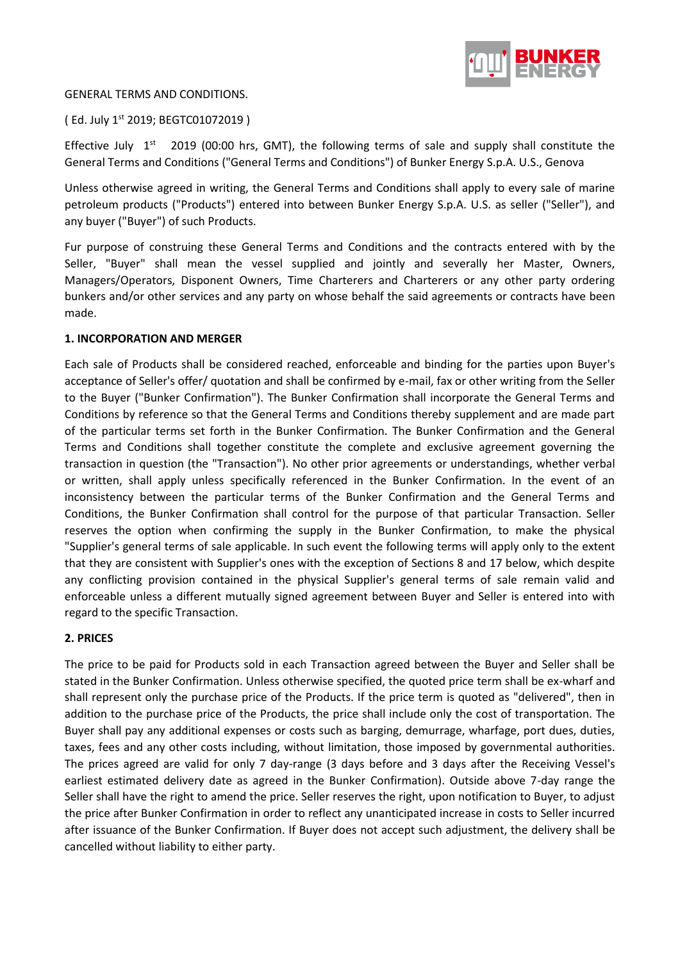

#### GENERAL TERMS AND CONDITIONS.

(Ed. July 1st 2019; BEGTC01072019)

Effective July  $1<sup>st</sup>$  2019 (00:00 hrs, GMT), the following terms of sale and supply shall constitute the General Terms and Conditions ("General Terms and Conditions") of Bunker Energy S.p.A. U.S., Genova

Unless otherwise agreed in writing, the General Terms and Conditions shall apply to every sale of marine petroleum products ("Products") entered into between Bunker Energy S.p.A. U.S. as seller ("Seller"), and any buyer ("Buyer") of such Products.

Fur purpose of construing these General Terms and Conditions and the contracts entered with by the Seller, "Buyer" shall mean the vessel supplied and jointly and severally her Master, Owners, Managers/Operators, Disponent Owners, Time Charterers and Charterers or any other party ordering bunkers and/or other services and any party on whose behalf the said agreements or contracts have been made.

# **1. INCORPORATION AND MERGER**

Each sale of Products shall be considered reached, enforceable and binding for the parties upon Buyer's acceptance of Seller's offer/ quotation and shall be confirmed by e-mail, fax or other writing from the Seller to the Buyer ("Bunker Confirmation"). The Bunker Confirmation shall incorporate the General Terms and Conditions by reference so that the General Terms and Conditions thereby supplement and are made part of the particular terms set forth in the Bunker Confirmation. The Bunker Confirmation and the General Terms and Conditions shall together constitute the complete and exclusive agreement governing the transaction in question (the "Transaction"). No other prior agreements or understandings, whether verbal or written, shall apply unless specifically referenced in the Bunker Confirmation. In the event of an inconsistency between the particular terms of the Bunker Confirmation and the General Terms and Conditions, the Bunker Confirmation shall control for the purpose of that particular Transaction. Seller reserves the option when confirming the supply in the Bunker Confirmation, to make the physical "Supplier's general terms of sale applicable. In such event the following terms will apply only to the extent that they are consistent with Supplier's ones with the exception of Sections 8 and 17 below, which despite any conflicting provision contained in the physical Supplier's general terms of sale remain valid and enforceable unless a different mutually signed agreement between Buyer and Seller is entered into with regard to the specific Transaction.

# **2. PRICES**

The price to be paid for Products sold in each Transaction agreed between the Buyer and Seller shall be stated in the Bunker Confirmation. Unless otherwise specified, the quoted price term shall be ex-wharf and shall represent only the purchase price of the Products. If the price term is quoted as "delivered", then in addition to the purchase price of the Products, the price shall include only the cost of transportation. The Buyer shall pay any additional expenses or costs such as barging, demurrage, wharfage, port dues, duties, taxes, fees and any other costs including, without limitation, those imposed by governmental authorities. The prices agreed are valid for only 7 day-range (3 days before and 3 days after the Receiving Vessel's earliest estimated delivery date as agreed in the Bunker Confirmation). Outside above 7-day range the Seller shall have the right to amend the price. Seller reserves the right, upon notification to Buyer, to adjust the price after Bunker Confirmation in order to reflect any unanticipated increase in costs to Seller incurred after issuance of the Bunker Confirmation. If Buyer does not accept such adjustment, the delivery shall be cancelled without liability to either party.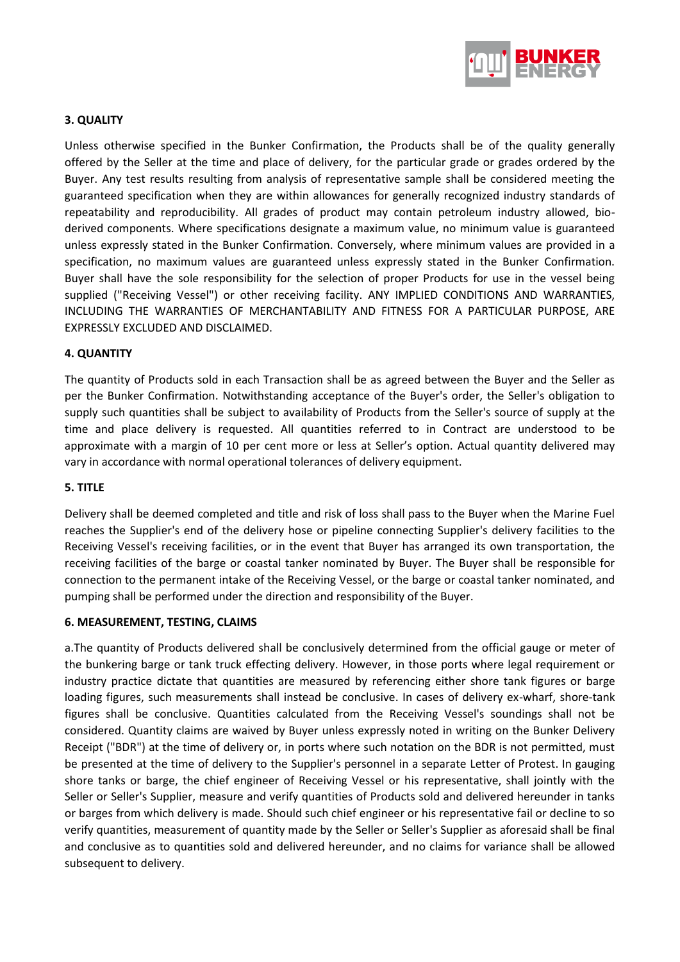

### **3. QUALITY**

Unless otherwise specified in the Bunker Confirmation, the Products shall be of the quality generally offered by the Seller at the time and place of delivery, for the particular grade or grades ordered by the Buyer. Any test results resulting from analysis of representative sample shall be considered meeting the guaranteed specification when they are within allowances for generally recognized industry standards of repeatability and reproducibility. All grades of product may contain petroleum industry allowed, bioderived components. Where specifications designate a maximum value, no minimum value is guaranteed unless expressly stated in the Bunker Confirmation. Conversely, where minimum values are provided in a specification, no maximum values are guaranteed unless expressly stated in the Bunker Confirmation. Buyer shall have the sole responsibility for the selection of proper Products for use in the vessel being supplied ("Receiving Vessel") or other receiving facility. ANY IMPLIED CONDITIONS AND WARRANTIES, INCLUDING THE WARRANTIES OF MERCHANTABILITY AND FITNESS FOR A PARTICULAR PURPOSE, ARE EXPRESSLY EXCLUDED AND DISCLAIMED.

### **4. QUANTITY**

The quantity of Products sold in each Transaction shall be as agreed between the Buyer and the Seller as per the Bunker Confirmation. Notwithstanding acceptance of the Buyer's order, the Seller's obligation to supply such quantities shall be subject to availability of Products from the Seller's source of supply at the time and place delivery is requested. All quantities referred to in Contract are understood to be approximate with a margin of 10 per cent more or less at Seller's option. Actual quantity delivered may vary in accordance with normal operational tolerances of delivery equipment.

### **5. TITLE**

Delivery shall be deemed completed and title and risk of loss shall pass to the Buyer when the Marine Fuel reaches the Supplier's end of the delivery hose or pipeline connecting Supplier's delivery facilities to the Receiving Vessel's receiving facilities, or in the event that Buyer has arranged its own transportation, the receiving facilities of the barge or coastal tanker nominated by Buyer. The Buyer shall be responsible for connection to the permanent intake of the Receiving Vessel, or the barge or coastal tanker nominated, and pumping shall be performed under the direction and responsibility of the Buyer.

#### **6. MEASUREMENT, TESTING, CLAIMS**

a.The quantity of Products delivered shall be conclusively determined from the official gauge or meter of the bunkering barge or tank truck effecting delivery. However, in those ports where legal requirement or industry practice dictate that quantities are measured by referencing either shore tank figures or barge loading figures, such measurements shall instead be conclusive. In cases of delivery ex-wharf, shore-tank figures shall be conclusive. Quantities calculated from the Receiving Vessel's soundings shall not be considered. Quantity claims are waived by Buyer unless expressly noted in writing on the Bunker Delivery Receipt ("BDR") at the time of delivery or, in ports where such notation on the BDR is not permitted, must be presented at the time of delivery to the Supplier's personnel in a separate Letter of Protest. In gauging shore tanks or barge, the chief engineer of Receiving Vessel or his representative, shall jointly with the Seller or Seller's Supplier, measure and verify quantities of Products sold and delivered hereunder in tanks or barges from which delivery is made. Should such chief engineer or his representative fail or decline to so verify quantities, measurement of quantity made by the Seller or Seller's Supplier as aforesaid shall be final and conclusive as to quantities sold and delivered hereunder, and no claims for variance shall be allowed subsequent to delivery.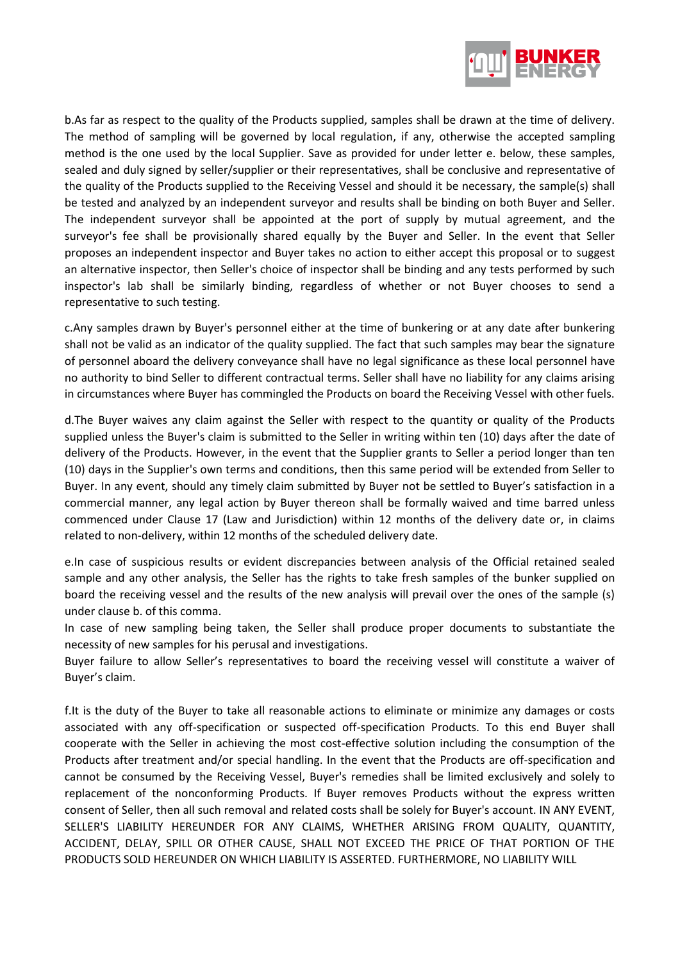

b.As far as respect to the quality of the Products supplied, samples shall be drawn at the time of delivery. The method of sampling will be governed by local regulation, if any, otherwise the accepted sampling method is the one used by the local Supplier. Save as provided for under letter e. below, these samples, sealed and duly signed by seller/supplier or their representatives, shall be conclusive and representative of the quality of the Products supplied to the Receiving Vessel and should it be necessary, the sample(s) shall be tested and analyzed by an independent surveyor and results shall be binding on both Buyer and Seller. The independent surveyor shall be appointed at the port of supply by mutual agreement, and the surveyor's fee shall be provisionally shared equally by the Buyer and Seller. In the event that Seller proposes an independent inspector and Buyer takes no action to either accept this proposal or to suggest an alternative inspector, then Seller's choice of inspector shall be binding and any tests performed by such inspector's lab shall be similarly binding, regardless of whether or not Buyer chooses to send a representative to such testing.

c.Any samples drawn by Buyer's personnel either at the time of bunkering or at any date after bunkering shall not be valid as an indicator of the quality supplied. The fact that such samples may bear the signature of personnel aboard the delivery conveyance shall have no legal significance as these local personnel have no authority to bind Seller to different contractual terms. Seller shall have no liability for any claims arising in circumstances where Buyer has commingled the Products on board the Receiving Vessel with other fuels.

d.The Buyer waives any claim against the Seller with respect to the quantity or quality of the Products supplied unless the Buyer's claim is submitted to the Seller in writing within ten (10) days after the date of delivery of the Products. However, in the event that the Supplier grants to Seller a period longer than ten (10) days in the Supplier's own terms and conditions, then this same period will be extended from Seller to Buyer. In any event, should any timely claim submitted by Buyer not be settled to Buyer's satisfaction in a commercial manner, any legal action by Buyer thereon shall be formally waived and time barred unless commenced under Clause 17 (Law and Jurisdiction) within 12 months of the delivery date or, in claims related to non-delivery, within 12 months of the scheduled delivery date.

e.In case of suspicious results or evident discrepancies between analysis of the Official retained sealed sample and any other analysis, the Seller has the rights to take fresh samples of the bunker supplied on board the receiving vessel and the results of the new analysis will prevail over the ones of the sample (s) under clause b. of this comma.

In case of new sampling being taken, the Seller shall produce proper documents to substantiate the necessity of new samples for his perusal and investigations.

Buyer failure to allow Seller's representatives to board the receiving vessel will constitute a waiver of Buyer's claim.

f.It is the duty of the Buyer to take all reasonable actions to eliminate or minimize any damages or costs associated with any off-specification or suspected off-specification Products. To this end Buyer shall cooperate with the Seller in achieving the most cost-effective solution including the consumption of the Products after treatment and/or special handling. In the event that the Products are off-specification and cannot be consumed by the Receiving Vessel, Buyer's remedies shall be limited exclusively and solely to replacement of the nonconforming Products. If Buyer removes Products without the express written consent of Seller, then all such removal and related costs shall be solely for Buyer's account. IN ANY EVENT, SELLER'S LIABILITY HEREUNDER FOR ANY CLAIMS, WHETHER ARISING FROM QUALITY, QUANTITY, ACCIDENT, DELAY, SPILL OR OTHER CAUSE, SHALL NOT EXCEED THE PRICE OF THAT PORTION OF THE PRODUCTS SOLD HEREUNDER ON WHICH LIABILITY IS ASSERTED. FURTHERMORE, NO LIABILITY WILL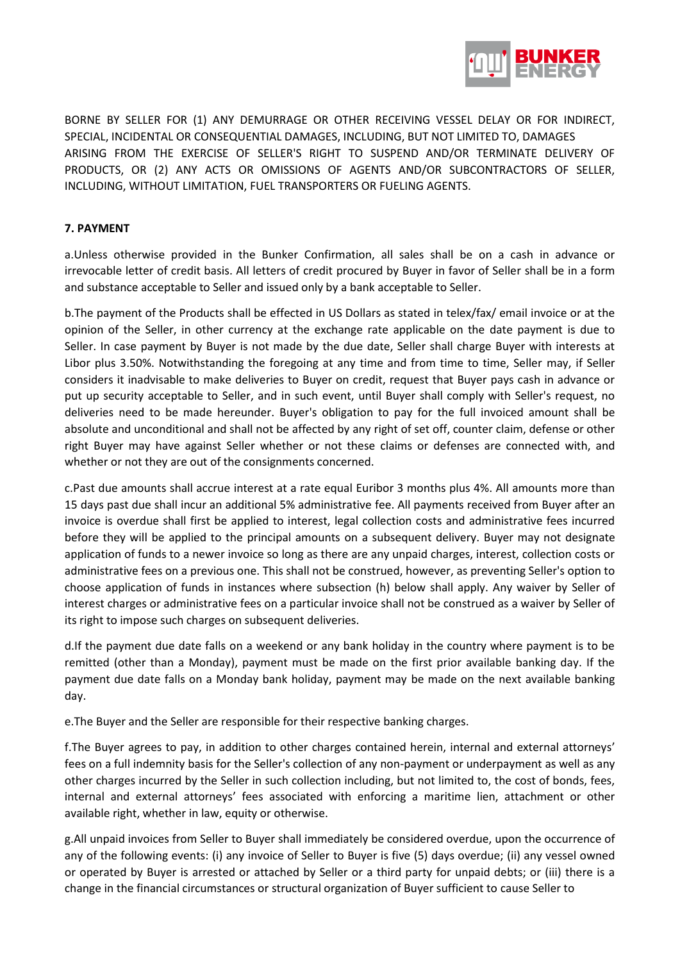

BORNE BY SELLER FOR (1) ANY DEMURRAGE OR OTHER RECEIVING VESSEL DELAY OR FOR INDIRECT, SPECIAL, INCIDENTAL OR CONSEQUENTIAL DAMAGES, INCLUDING, BUT NOT LIMITED TO, DAMAGES ARISING FROM THE EXERCISE OF SELLER'S RIGHT TO SUSPEND AND/OR TERMINATE DELIVERY OF PRODUCTS, OR (2) ANY ACTS OR OMISSIONS OF AGENTS AND/OR SUBCONTRACTORS OF SELLER, INCLUDING, WITHOUT LIMITATION, FUEL TRANSPORTERS OR FUELING AGENTS.

# **7. PAYMENT**

a.Unless otherwise provided in the Bunker Confirmation, all sales shall be on a cash in advance or irrevocable letter of credit basis. All letters of credit procured by Buyer in favor of Seller shall be in a form and substance acceptable to Seller and issued only by a bank acceptable to Seller.

b.The payment of the Products shall be effected in US Dollars as stated in telex/fax/ email invoice or at the opinion of the Seller, in other currency at the exchange rate applicable on the date payment is due to Seller. In case payment by Buyer is not made by the due date, Seller shall charge Buyer with interests at Libor plus 3.50%. Notwithstanding the foregoing at any time and from time to time, Seller may, if Seller considers it inadvisable to make deliveries to Buyer on credit, request that Buyer pays cash in advance or put up security acceptable to Seller, and in such event, until Buyer shall comply with Seller's request, no deliveries need to be made hereunder. Buyer's obligation to pay for the full invoiced amount shall be absolute and unconditional and shall not be affected by any right of set off, counter claim, defense or other right Buyer may have against Seller whether or not these claims or defenses are connected with, and whether or not they are out of the consignments concerned.

c.Past due amounts shall accrue interest at a rate equal Euribor 3 months plus 4%. All amounts more than 15 days past due shall incur an additional 5% administrative fee. All payments received from Buyer after an invoice is overdue shall first be applied to interest, legal collection costs and administrative fees incurred before they will be applied to the principal amounts on a subsequent delivery. Buyer may not designate application of funds to a newer invoice so long as there are any unpaid charges, interest, collection costs or administrative fees on a previous one. This shall not be construed, however, as preventing Seller's option to choose application of funds in instances where subsection (h) below shall apply. Any waiver by Seller of interest charges or administrative fees on a particular invoice shall not be construed as a waiver by Seller of its right to impose such charges on subsequent deliveries.

d.If the payment due date falls on a weekend or any bank holiday in the country where payment is to be remitted (other than a Monday), payment must be made on the first prior available banking day. If the payment due date falls on a Monday bank holiday, payment may be made on the next available banking day.

e.The Buyer and the Seller are responsible for their respective banking charges.

f.The Buyer agrees to pay, in addition to other charges contained herein, internal and external attorneys' fees on a full indemnity basis for the Seller's collection of any non-payment or underpayment as well as any other charges incurred by the Seller in such collection including, but not limited to, the cost of bonds, fees, internal and external attorneys' fees associated with enforcing a maritime lien, attachment or other available right, whether in law, equity or otherwise.

g.All unpaid invoices from Seller to Buyer shall immediately be considered overdue, upon the occurrence of any of the following events: (i) any invoice of Seller to Buyer is five (5) days overdue; (ii) any vessel owned or operated by Buyer is arrested or attached by Seller or a third party for unpaid debts; or (iii) there is a change in the financial circumstances or structural organization of Buyer sufficient to cause Seller to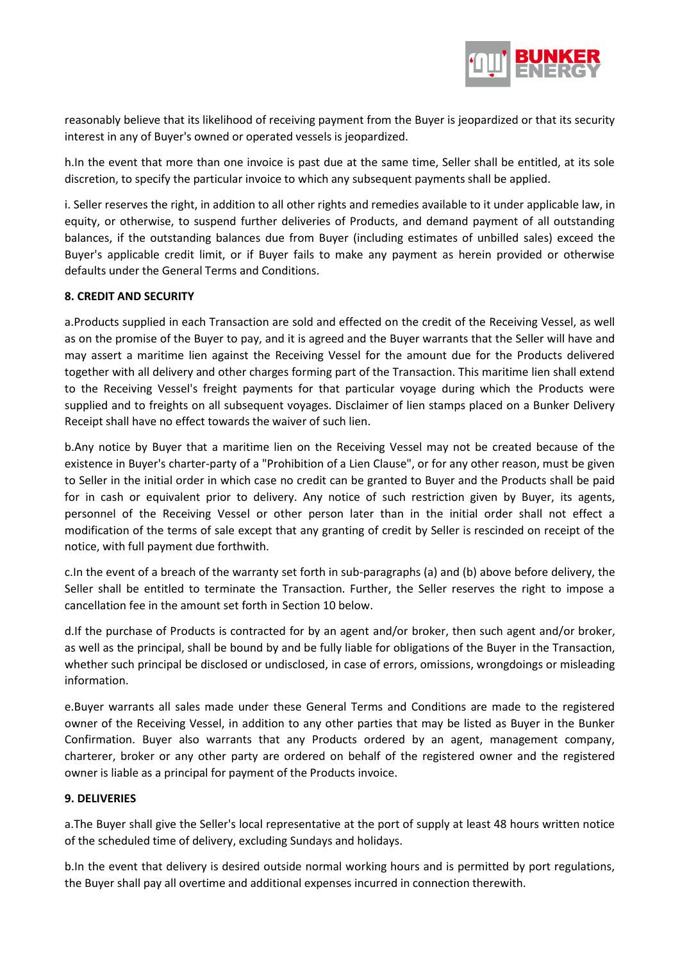

reasonably believe that its likelihood of receiving payment from the Buyer is jeopardized or that its security interest in any of Buyer's owned or operated vessels is jeopardized.

h.In the event that more than one invoice is past due at the same time, Seller shall be entitled, at its sole discretion, to specify the particular invoice to which any subsequent payments shall be applied.

i. Seller reserves the right, in addition to all other rights and remedies available to it under applicable law, in equity, or otherwise, to suspend further deliveries of Products, and demand payment of all outstanding balances, if the outstanding balances due from Buyer (including estimates of unbilled sales) exceed the Buyer's applicable credit limit, or if Buyer fails to make any payment as herein provided or otherwise defaults under the General Terms and Conditions.

### **8. CREDIT AND SECURITY**

a.Products supplied in each Transaction are sold and effected on the credit of the Receiving Vessel, as well as on the promise of the Buyer to pay, and it is agreed and the Buyer warrants that the Seller will have and may assert a maritime lien against the Receiving Vessel for the amount due for the Products delivered together with all delivery and other charges forming part of the Transaction. This maritime lien shall extend to the Receiving Vessel's freight payments for that particular voyage during which the Products were supplied and to freights on all subsequent voyages. Disclaimer of lien stamps placed on a Bunker Delivery Receipt shall have no effect towards the waiver of such lien.

b.Any notice by Buyer that a maritime lien on the Receiving Vessel may not be created because of the existence in Buyer's charter-party of a "Prohibition of a Lien Clause", or for any other reason, must be given to Seller in the initial order in which case no credit can be granted to Buyer and the Products shall be paid for in cash or equivalent prior to delivery. Any notice of such restriction given by Buyer, its agents, personnel of the Receiving Vessel or other person later than in the initial order shall not effect a modification of the terms of sale except that any granting of credit by Seller is rescinded on receipt of the notice, with full payment due forthwith.

c.In the event of a breach of the warranty set forth in sub-paragraphs (a) and (b) above before delivery, the Seller shall be entitled to terminate the Transaction. Further, the Seller reserves the right to impose a cancellation fee in the amount set forth in Section 10 below.

d.If the purchase of Products is contracted for by an agent and/or broker, then such agent and/or broker, as well as the principal, shall be bound by and be fully liable for obligations of the Buyer in the Transaction, whether such principal be disclosed or undisclosed, in case of errors, omissions, wrongdoings or misleading information.

e.Buyer warrants all sales made under these General Terms and Conditions are made to the registered owner of the Receiving Vessel, in addition to any other parties that may be listed as Buyer in the Bunker Confirmation. Buyer also warrants that any Products ordered by an agent, management company, charterer, broker or any other party are ordered on behalf of the registered owner and the registered owner is liable as a principal for payment of the Products invoice.

### **9. DELIVERIES**

a.The Buyer shall give the Seller's local representative at the port of supply at least 48 hours written notice of the scheduled time of delivery, excluding Sundays and holidays.

b.In the event that delivery is desired outside normal working hours and is permitted by port regulations, the Buyer shall pay all overtime and additional expenses incurred in connection therewith.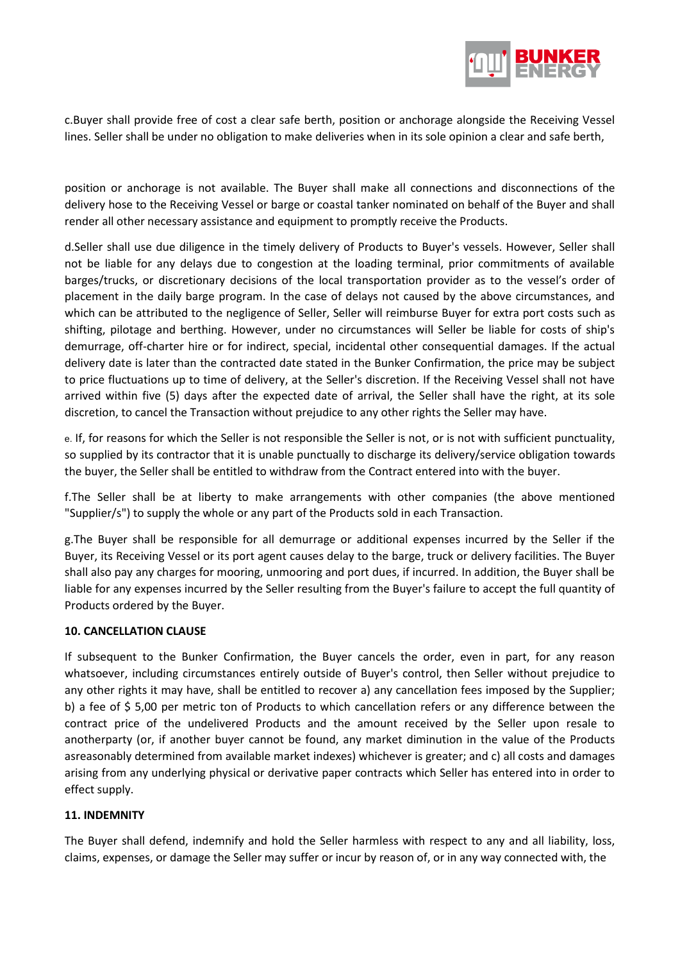

c.Buyer shall provide free of cost a clear safe berth, position or anchorage alongside the Receiving Vessel lines. Seller shall be under no obligation to make deliveries when in its sole opinion a clear and safe berth,

position or anchorage is not available. The Buyer shall make all connections and disconnections of the delivery hose to the Receiving Vessel or barge or coastal tanker nominated on behalf of the Buyer and shall render all other necessary assistance and equipment to promptly receive the Products.

d.Seller shall use due diligence in the timely delivery of Products to Buyer's vessels. However, Seller shall not be liable for any delays due to congestion at the loading terminal, prior commitments of available barges/trucks, or discretionary decisions of the local transportation provider as to the vessel's order of placement in the daily barge program. In the case of delays not caused by the above circumstances, and which can be attributed to the negligence of Seller, Seller will reimburse Buyer for extra port costs such as shifting, pilotage and berthing. However, under no circumstances will Seller be liable for costs of ship's demurrage, off-charter hire or for indirect, special, incidental other consequential damages. If the actual delivery date is later than the contracted date stated in the Bunker Confirmation, the price may be subject to price fluctuations up to time of delivery, at the Seller's discretion. If the Receiving Vessel shall not have arrived within five (5) days after the expected date of arrival, the Seller shall have the right, at its sole discretion, to cancel the Transaction without prejudice to any other rights the Seller may have.

e. If, for reasons for which the Seller is not responsible the Seller is not, or is not with sufficient punctuality, so supplied by its contractor that it is unable punctually to discharge its delivery/service obligation towards the buyer, the Seller shall be entitled to withdraw from the Contract entered into with the buyer.

f.The Seller shall be at liberty to make arrangements with other companies (the above mentioned "Supplier/s") to supply the whole or any part of the Products sold in each Transaction.

g.The Buyer shall be responsible for all demurrage or additional expenses incurred by the Seller if the Buyer, its Receiving Vessel or its port agent causes delay to the barge, truck or delivery facilities. The Buyer shall also pay any charges for mooring, unmooring and port dues, if incurred. In addition, the Buyer shall be liable for any expenses incurred by the Seller resulting from the Buyer's failure to accept the full quantity of Products ordered by the Buyer.

### **10. CANCELLATION CLAUSE**

If subsequent to the Bunker Confirmation, the Buyer cancels the order, even in part, for any reason whatsoever, including circumstances entirely outside of Buyer's control, then Seller without prejudice to any other rights it may have, shall be entitled to recover a) any cancellation fees imposed by the Supplier; b) a fee of \$ 5,00 per metric ton of Products to which cancellation refers or any difference between the contract price of the undelivered Products and the amount received by the Seller upon resale to anotherparty (or, if another buyer cannot be found, any market diminution in the value of the Products asreasonably determined from available market indexes) whichever is greater; and c) all costs and damages arising from any underlying physical or derivative paper contracts which Seller has entered into in order to effect supply.

### **11. INDEMNITY**

The Buyer shall defend, indemnify and hold the Seller harmless with respect to any and all liability, loss, claims, expenses, or damage the Seller may suffer or incur by reason of, or in any way connected with, the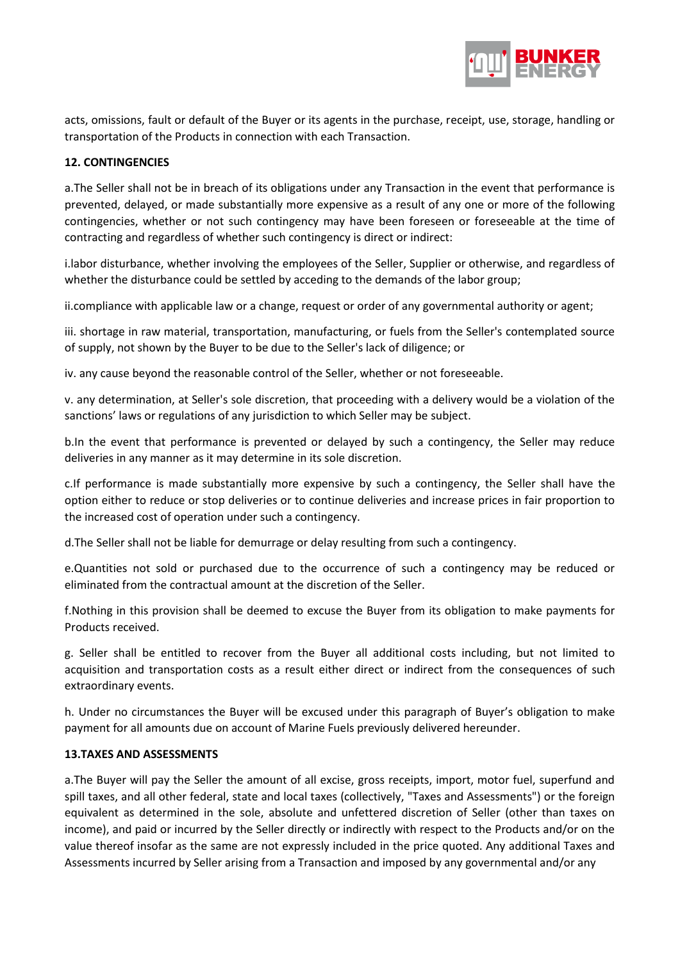

acts, omissions, fault or default of the Buyer or its agents in the purchase, receipt, use, storage, handling or transportation of the Products in connection with each Transaction.

# **12. CONTINGENCIES**

a.The Seller shall not be in breach of its obligations under any Transaction in the event that performance is prevented, delayed, or made substantially more expensive as a result of any one or more of the following contingencies, whether or not such contingency may have been foreseen or foreseeable at the time of contracting and regardless of whether such contingency is direct or indirect:

i.labor disturbance, whether involving the employees of the Seller, Supplier or otherwise, and regardless of whether the disturbance could be settled by acceding to the demands of the labor group;

ii.compliance with applicable law or a change, request or order of any governmental authority or agent;

iii. shortage in raw material, transportation, manufacturing, or fuels from the Seller's contemplated source of supply, not shown by the Buyer to be due to the Seller's lack of diligence; or

iv. any cause beyond the reasonable control of the Seller, whether or not foreseeable.

v. any determination, at Seller's sole discretion, that proceeding with a delivery would be a violation of the sanctions' laws or regulations of any jurisdiction to which Seller may be subject.

b.In the event that performance is prevented or delayed by such a contingency, the Seller may reduce deliveries in any manner as it may determine in its sole discretion.

c.If performance is made substantially more expensive by such a contingency, the Seller shall have the option either to reduce or stop deliveries or to continue deliveries and increase prices in fair proportion to the increased cost of operation under such a contingency.

d.The Seller shall not be liable for demurrage or delay resulting from such a contingency.

e.Quantities not sold or purchased due to the occurrence of such a contingency may be reduced or eliminated from the contractual amount at the discretion of the Seller.

f.Nothing in this provision shall be deemed to excuse the Buyer from its obligation to make payments for Products received.

g. Seller shall be entitled to recover from the Buyer all additional costs including, but not limited to acquisition and transportation costs as a result either direct or indirect from the consequences of such extraordinary events.

h. Under no circumstances the Buyer will be excused under this paragraph of Buyer's obligation to make payment for all amounts due on account of Marine Fuels previously delivered hereunder.

### **13.TAXES AND ASSESSMENTS**

a.The Buyer will pay the Seller the amount of all excise, gross receipts, import, motor fuel, superfund and spill taxes, and all other federal, state and local taxes (collectively, "Taxes and Assessments") or the foreign equivalent as determined in the sole, absolute and unfettered discretion of Seller (other than taxes on income), and paid or incurred by the Seller directly or indirectly with respect to the Products and/or on the value thereof insofar as the same are not expressly included in the price quoted. Any additional Taxes and Assessments incurred by Seller arising from a Transaction and imposed by any governmental and/or any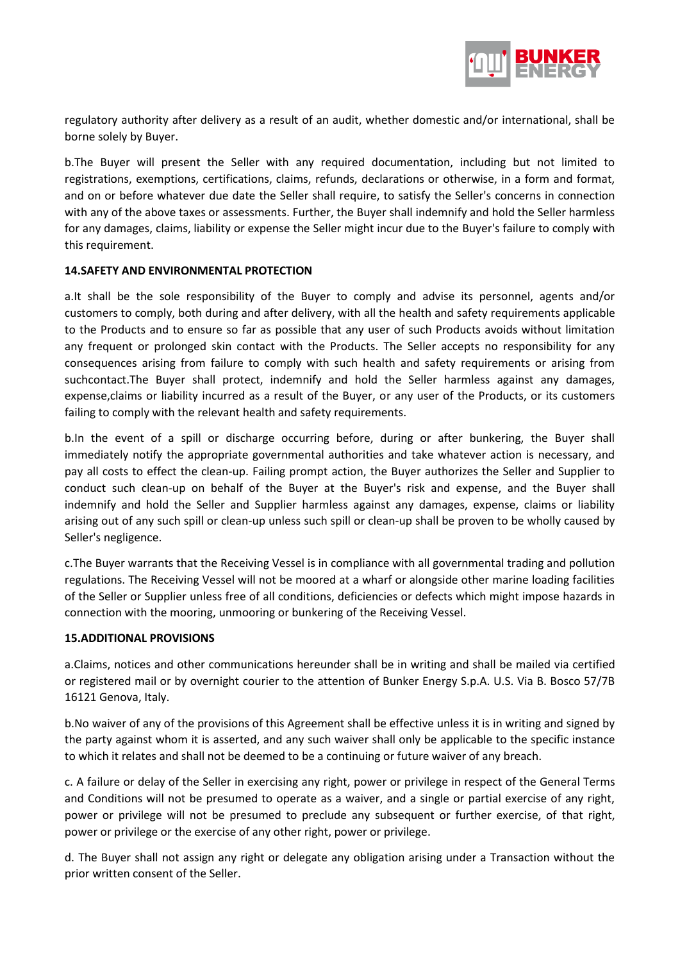

regulatory authority after delivery as a result of an audit, whether domestic and/or international, shall be borne solely by Buyer.

b.The Buyer will present the Seller with any required documentation, including but not limited to registrations, exemptions, certifications, claims, refunds, declarations or otherwise, in a form and format, and on or before whatever due date the Seller shall require, to satisfy the Seller's concerns in connection with any of the above taxes or assessments. Further, the Buyer shall indemnify and hold the Seller harmless for any damages, claims, liability or expense the Seller might incur due to the Buyer's failure to comply with this requirement.

### **14.SAFETY AND ENVIRONMENTAL PROTECTION**

a.It shall be the sole responsibility of the Buyer to comply and advise its personnel, agents and/or customers to comply, both during and after delivery, with all the health and safety requirements applicable to the Products and to ensure so far as possible that any user of such Products avoids without limitation any frequent or prolonged skin contact with the Products. The Seller accepts no responsibility for any consequences arising from failure to comply with such health and safety requirements or arising from suchcontact.The Buyer shall protect, indemnify and hold the Seller harmless against any damages, expense,claims or liability incurred as a result of the Buyer, or any user of the Products, or its customers failing to comply with the relevant health and safety requirements.

b.In the event of a spill or discharge occurring before, during or after bunkering, the Buyer shall immediately notify the appropriate governmental authorities and take whatever action is necessary, and pay all costs to effect the clean-up. Failing prompt action, the Buyer authorizes the Seller and Supplier to conduct such clean-up on behalf of the Buyer at the Buyer's risk and expense, and the Buyer shall indemnify and hold the Seller and Supplier harmless against any damages, expense, claims or liability arising out of any such spill or clean-up unless such spill or clean-up shall be proven to be wholly caused by Seller's negligence.

c.The Buyer warrants that the Receiving Vessel is in compliance with all governmental trading and pollution regulations. The Receiving Vessel will not be moored at a wharf or alongside other marine loading facilities of the Seller or Supplier unless free of all conditions, deficiencies or defects which might impose hazards in connection with the mooring, unmooring or bunkering of the Receiving Vessel.

### **15.ADDITIONAL PROVISIONS**

a.Claims, notices and other communications hereunder shall be in writing and shall be mailed via certified or registered mail or by overnight courier to the attention of Bunker Energy S.p.A. U.S. Via B. Bosco 57/7B 16121 Genova, Italy.

b.No waiver of any of the provisions of this Agreement shall be effective unless it is in writing and signed by the party against whom it is asserted, and any such waiver shall only be applicable to the specific instance to which it relates and shall not be deemed to be a continuing or future waiver of any breach.

c. A failure or delay of the Seller in exercising any right, power or privilege in respect of the General Terms and Conditions will not be presumed to operate as a waiver, and a single or partial exercise of any right, power or privilege will not be presumed to preclude any subsequent or further exercise, of that right, power or privilege or the exercise of any other right, power or privilege.

d. The Buyer shall not assign any right or delegate any obligation arising under a Transaction without the prior written consent of the Seller.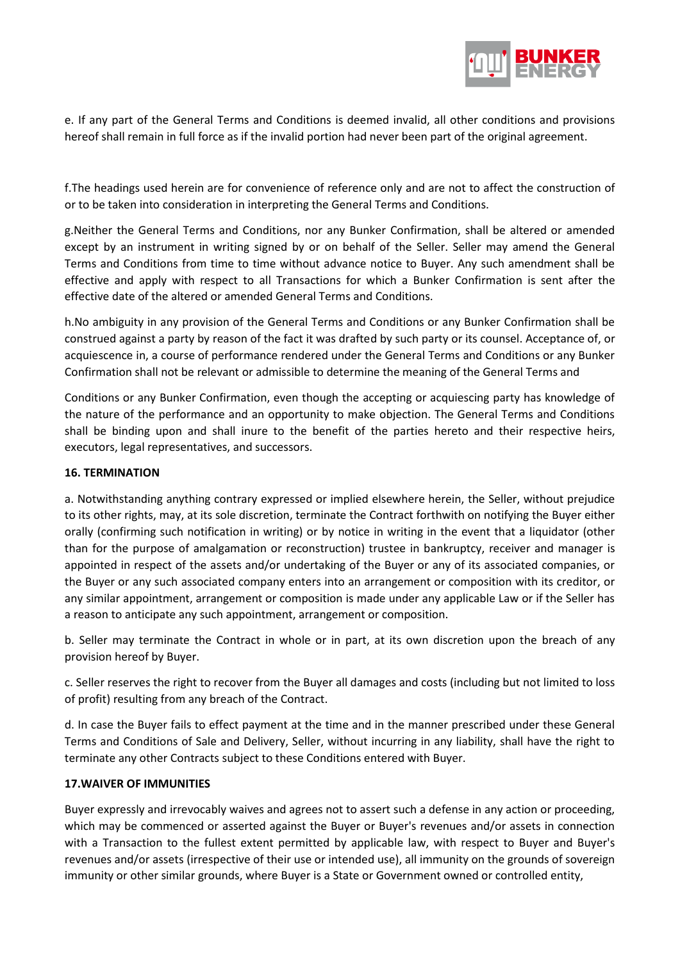

e. If any part of the General Terms and Conditions is deemed invalid, all other conditions and provisions hereof shall remain in full force as if the invalid portion had never been part of the original agreement.

f.The headings used herein are for convenience of reference only and are not to affect the construction of or to be taken into consideration in interpreting the General Terms and Conditions.

g.Neither the General Terms and Conditions, nor any Bunker Confirmation, shall be altered or amended except by an instrument in writing signed by or on behalf of the Seller. Seller may amend the General Terms and Conditions from time to time without advance notice to Buyer. Any such amendment shall be effective and apply with respect to all Transactions for which a Bunker Confirmation is sent after the effective date of the altered or amended General Terms and Conditions.

h.No ambiguity in any provision of the General Terms and Conditions or any Bunker Confirmation shall be construed against a party by reason of the fact it was drafted by such party or its counsel. Acceptance of, or acquiescence in, a course of performance rendered under the General Terms and Conditions or any Bunker Confirmation shall not be relevant or admissible to determine the meaning of the General Terms and

Conditions or any Bunker Confirmation, even though the accepting or acquiescing party has knowledge of the nature of the performance and an opportunity to make objection. The General Terms and Conditions shall be binding upon and shall inure to the benefit of the parties hereto and their respective heirs, executors, legal representatives, and successors.

### **16. TERMINATION**

a. Notwithstanding anything contrary expressed or implied elsewhere herein, the Seller, without prejudice to its other rights, may, at its sole discretion, terminate the Contract forthwith on notifying the Buyer either orally (confirming such notification in writing) or by notice in writing in the event that a liquidator (other than for the purpose of amalgamation or reconstruction) trustee in bankruptcy, receiver and manager is appointed in respect of the assets and/or undertaking of the Buyer or any of its associated companies, or the Buyer or any such associated company enters into an arrangement or composition with its creditor, or any similar appointment, arrangement or composition is made under any applicable Law or if the Seller has a reason to anticipate any such appointment, arrangement or composition.

b. Seller may terminate the Contract in whole or in part, at its own discretion upon the breach of any provision hereof by Buyer.

c. Seller reserves the right to recover from the Buyer all damages and costs (including but not limited to loss of profit) resulting from any breach of the Contract.

d. In case the Buyer fails to effect payment at the time and in the manner prescribed under these General Terms and Conditions of Sale and Delivery, Seller, without incurring in any liability, shall have the right to terminate any other Contracts subject to these Conditions entered with Buyer.

### **17.WAIVER OF IMMUNITIES**

Buyer expressly and irrevocably waives and agrees not to assert such a defense in any action or proceeding, which may be commenced or asserted against the Buyer or Buyer's revenues and/or assets in connection with a Transaction to the fullest extent permitted by applicable law, with respect to Buyer and Buyer's revenues and/or assets (irrespective of their use or intended use), all immunity on the grounds of sovereign immunity or other similar grounds, where Buyer is a State or Government owned or controlled entity,